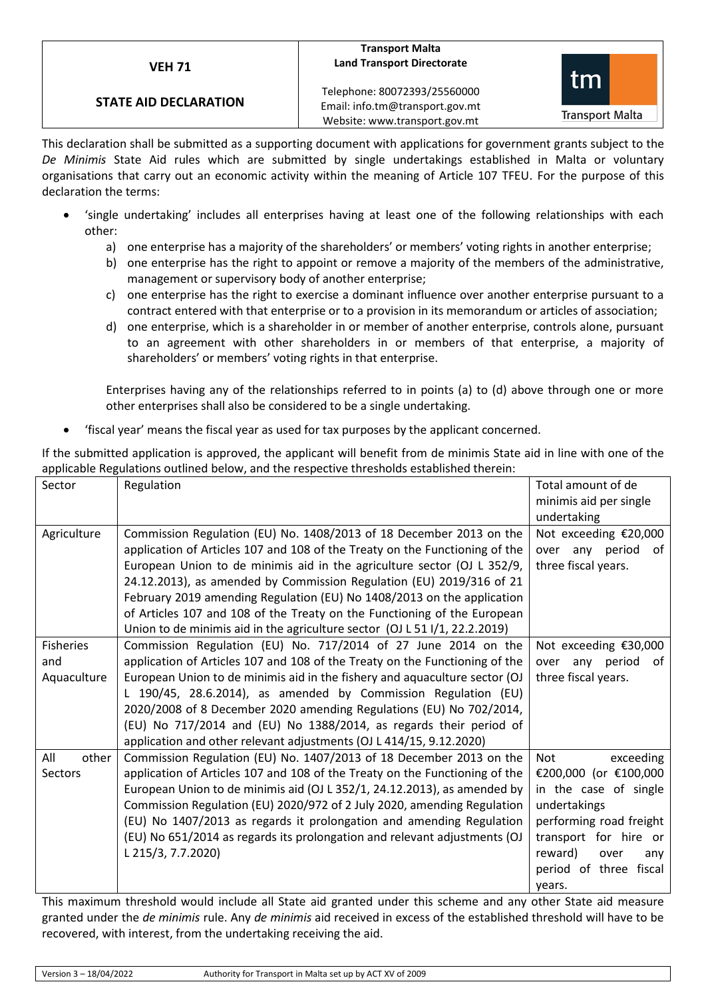# **VEH 71**

# **STATE AID DECLARATION**

### **Transport Malta Land Transport Directorate**

Telephone: 80072393/25560000 Email: info.tm@transport.gov.mt Website: www.transport.gov.mt



This declaration shall be submitted as a supporting document with applications for government grants subject to the *De Minimis* State Aid rules which are submitted by single undertakings established in Malta or voluntary organisations that carry out an economic activity within the meaning of Article 107 TFEU. For the purpose of this declaration the terms:

- 'single undertaking' includes all enterprises having at least one of the following relationships with each other:
	- a) one enterprise has a majority of the shareholders' or members' voting rights in another enterprise;
	- b) one enterprise has the right to appoint or remove a majority of the members of the administrative, management or supervisory body of another enterprise;
	- c) one enterprise has the right to exercise a dominant influence over another enterprise pursuant to a contract entered with that enterprise or to a provision in its memorandum or articles of association;
	- d) one enterprise, which is a shareholder in or member of another enterprise, controls alone, pursuant to an agreement with other shareholders in or members of that enterprise, a majority of shareholders' or members' voting rights in that enterprise.

Enterprises having any of the relationships referred to in points (a) to (d) above through one or more other enterprises shall also be considered to be a single undertaking.

• 'fiscal year' means the fiscal year as used for tax purposes by the applicant concerned.

If the submitted application is approved, the applicant will benefit from de minimis State aid in line with one of the applicable Regulations outlined below, and the respective thresholds established therein:

| Sector           | Regulation                                                                  | Total amount of de<br>minimis aid per single |
|------------------|-----------------------------------------------------------------------------|----------------------------------------------|
|                  |                                                                             | undertaking                                  |
| Agriculture      | Commission Regulation (EU) No. 1408/2013 of 18 December 2013 on the         | Not exceeding €20,000                        |
|                  | application of Articles 107 and 108 of the Treaty on the Functioning of the | over any period<br>0f                        |
|                  | European Union to de minimis aid in the agriculture sector (OJ L 352/9,     | three fiscal years.                          |
|                  | 24.12.2013), as amended by Commission Regulation (EU) 2019/316 of 21        |                                              |
|                  | February 2019 amending Regulation (EU) No 1408/2013 on the application      |                                              |
|                  | of Articles 107 and 108 of the Treaty on the Functioning of the European    |                                              |
|                  | Union to de minimis aid in the agriculture sector (OJ L 51 I/1, 22.2.2019)  |                                              |
| <b>Fisheries</b> | Commission Regulation (EU) No. 717/2014 of 27 June 2014 on the              | Not exceeding €30,000                        |
| and              | application of Articles 107 and 108 of the Treaty on the Functioning of the | over any period<br>0f                        |
| Aquaculture      | European Union to de minimis aid in the fishery and aquaculture sector (OJ  | three fiscal years.                          |
|                  | L 190/45, 28.6.2014), as amended by Commission Regulation (EU)              |                                              |
|                  | 2020/2008 of 8 December 2020 amending Regulations (EU) No 702/2014,         |                                              |
|                  | (EU) No 717/2014 and (EU) No 1388/2014, as regards their period of          |                                              |
|                  | application and other relevant adjustments (OJ L 414/15, 9.12.2020)         |                                              |
| All<br>other     | Commission Regulation (EU) No. 1407/2013 of 18 December 2013 on the         | exceeding<br>Not                             |
| <b>Sectors</b>   | application of Articles 107 and 108 of the Treaty on the Functioning of the | €200,000 (or €100,000                        |
|                  | European Union to de minimis aid (OJ L 352/1, 24.12.2013), as amended by    | in the case of single                        |
|                  | Commission Regulation (EU) 2020/972 of 2 July 2020, amending Regulation     | undertakings                                 |
|                  | (EU) No 1407/2013 as regards it prolongation and amending Regulation        | performing road freight                      |
|                  | (EU) No 651/2014 as regards its prolongation and relevant adjustments (OJ   | transport for hire or                        |
|                  | L 215/3, 7.7.2020)                                                          | reward)<br>over<br>any                       |
|                  |                                                                             | period of three fiscal                       |
|                  |                                                                             | years.                                       |

This maximum threshold would include all State aid granted under this scheme and any other State aid measure granted under the *de minimis* rule. Any *de minimis* aid received in excess of the established threshold will have to be recovered, with interest, from the undertaking receiving the aid.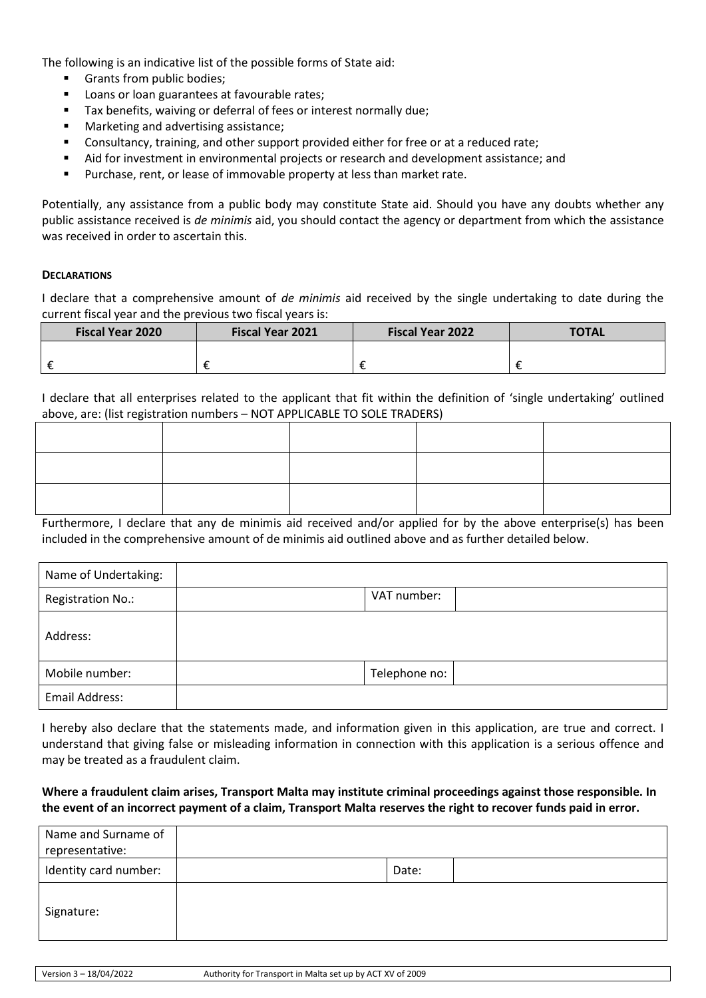The following is an indicative list of the possible forms of State aid:

- Grants from public bodies;
- Loans or loan guarantees at favourable rates;
- Tax benefits, waiving or deferral of fees or interest normally due;
- Marketing and advertising assistance;
- Consultancy, training, and other support provided either for free or at a reduced rate;
- Aid for investment in environmental projects or research and development assistance; and
- Purchase, rent, or lease of immovable property at less than market rate.

Potentially, any assistance from a public body may constitute State aid. Should you have any doubts whether any public assistance received is *de minimis* aid, you should contact the agency or department from which the assistance was received in order to ascertain this.

### **DECLARATIONS**

I declare that a comprehensive amount of *de minimis* aid received by the single undertaking to date during the current fiscal year and the previous two fiscal years is:

| <b>Fiscal Year 2020</b> | <b>Fiscal Year 2021</b> | <b>Fiscal Year 2022</b> | <b>TOTAL</b> |
|-------------------------|-------------------------|-------------------------|--------------|
|                         |                         |                         |              |
|                         |                         |                         |              |

I declare that all enterprises related to the applicant that fit within the definition of 'single undertaking' outlined above, are: (list registration numbers – NOT APPLICABLE TO SOLE TRADERS)

Furthermore, I declare that any de minimis aid received and/or applied for by the above enterprise(s) has been included in the comprehensive amount of de minimis aid outlined above and as further detailed below.

| Name of Undertaking: |               |
|----------------------|---------------|
| Registration No.:    | VAT number:   |
| Address:             |               |
| Mobile number:       | Telephone no: |
| Email Address:       |               |

I hereby also declare that the statements made, and information given in this application, are true and correct. I understand that giving false or misleading information in connection with this application is a serious offence and may be treated as a fraudulent claim.

# **Where a fraudulent claim arises, Transport Malta may institute criminal proceedings against those responsible. In the event of an incorrect payment of a claim, Transport Malta reserves the right to recover funds paid in error.**

| Name and Surname of<br>representative: |       |  |
|----------------------------------------|-------|--|
| Identity card number:                  | Date: |  |
| Signature:                             |       |  |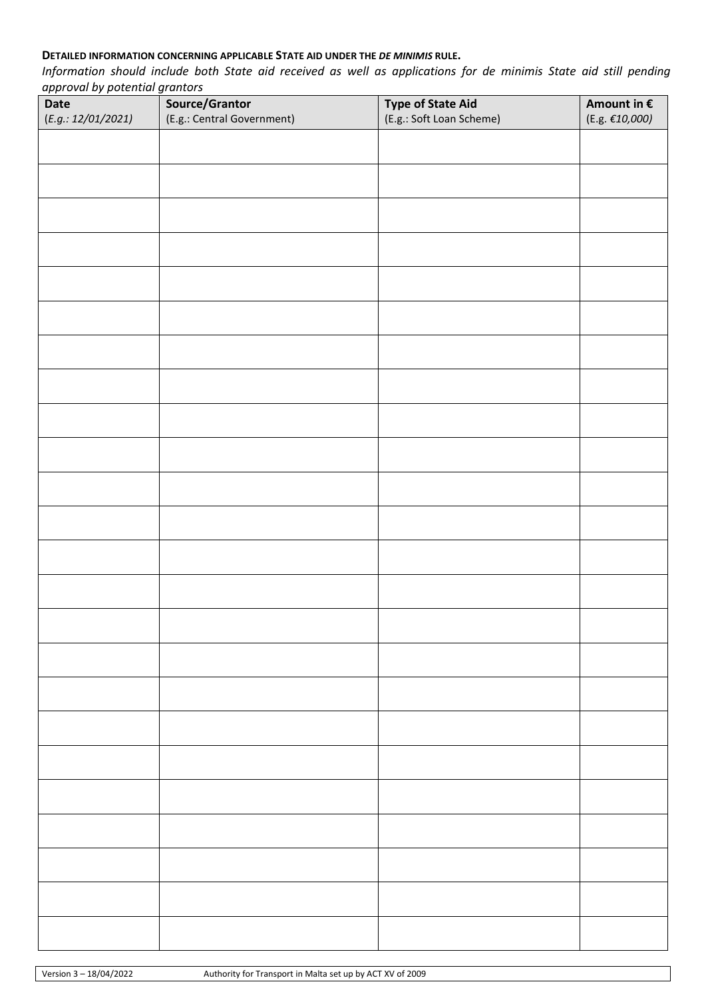# **DETAILED INFORMATION CONCERNING APPLICABLE STATE AID UNDER THE** *DE MINIMIS* **RULE.**

*Information should include both State aid received as well as applications for de minimis State aid still pending approval by potential grantors*

| <b>Date</b>        | Source/Grantor             | <b>Type of State Aid</b> | Amount in $\boldsymbol{\epsilon}$ |
|--------------------|----------------------------|--------------------------|-----------------------------------|
| (E.g.: 12/01/2021) | (E.g.: Central Government) | (E.g.: Soft Loan Scheme) | (E.g. $\mathcal{E}10,000$ )       |
|                    |                            |                          |                                   |
|                    |                            |                          |                                   |
|                    |                            |                          |                                   |
|                    |                            |                          |                                   |
|                    |                            |                          |                                   |
|                    |                            |                          |                                   |
|                    |                            |                          |                                   |
|                    |                            |                          |                                   |
|                    |                            |                          |                                   |
|                    |                            |                          |                                   |
|                    |                            |                          |                                   |
|                    |                            |                          |                                   |
|                    |                            |                          |                                   |
|                    |                            |                          |                                   |
|                    |                            |                          |                                   |
|                    |                            |                          |                                   |
|                    |                            |                          |                                   |
|                    |                            |                          |                                   |
|                    |                            |                          |                                   |
|                    |                            |                          |                                   |
|                    |                            |                          |                                   |
|                    |                            |                          |                                   |
|                    |                            |                          |                                   |
|                    |                            |                          |                                   |
|                    |                            |                          |                                   |
|                    |                            |                          |                                   |
|                    |                            |                          |                                   |
|                    |                            |                          |                                   |
|                    |                            |                          |                                   |
|                    |                            |                          |                                   |
|                    |                            |                          |                                   |
|                    |                            |                          |                                   |
|                    |                            |                          |                                   |
|                    |                            |                          |                                   |
|                    |                            |                          |                                   |
|                    |                            |                          |                                   |
|                    |                            |                          |                                   |
|                    |                            |                          |                                   |
|                    |                            |                          |                                   |
|                    |                            |                          |                                   |
|                    |                            |                          |                                   |
|                    |                            |                          |                                   |
|                    |                            |                          |                                   |
|                    |                            |                          |                                   |
|                    |                            |                          |                                   |
|                    |                            |                          |                                   |
|                    |                            |                          |                                   |
|                    |                            |                          |                                   |
|                    |                            |                          |                                   |
|                    |                            |                          |                                   |